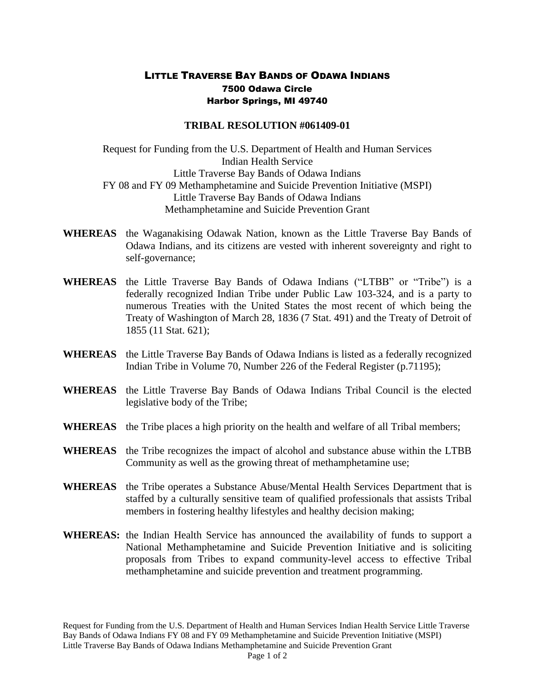## LITTLE TRAVERSE BAY BANDS OF ODAWA INDIANS 7500 Odawa Circle Harbor Springs, MI 49740

## **TRIBAL RESOLUTION #061409-01**

Request for Funding from the U.S. Department of Health and Human Services Indian Health Service Little Traverse Bay Bands of Odawa Indians FY 08 and FY 09 Methamphetamine and Suicide Prevention Initiative (MSPI) Little Traverse Bay Bands of Odawa Indians Methamphetamine and Suicide Prevention Grant

- **WHEREAS** the Waganakising Odawak Nation, known as the Little Traverse Bay Bands of Odawa Indians, and its citizens are vested with inherent sovereignty and right to self-governance;
- **WHEREAS** the Little Traverse Bay Bands of Odawa Indians ("LTBB" or "Tribe") is a federally recognized Indian Tribe under Public Law 103-324, and is a party to numerous Treaties with the United States the most recent of which being the Treaty of Washington of March 28, 1836 (7 Stat. 491) and the Treaty of Detroit of 1855 (11 Stat. 621);
- **WHEREAS** the Little Traverse Bay Bands of Odawa Indians is listed as a federally recognized Indian Tribe in Volume 70, Number 226 of the Federal Register (p.71195);
- **WHEREAS** the Little Traverse Bay Bands of Odawa Indians Tribal Council is the elected legislative body of the Tribe;
- **WHEREAS** the Tribe places a high priority on the health and welfare of all Tribal members;
- **WHEREAS** the Tribe recognizes the impact of alcohol and substance abuse within the LTBB Community as well as the growing threat of methamphetamine use;
- **WHEREAS** the Tribe operates a Substance Abuse/Mental Health Services Department that is staffed by a culturally sensitive team of qualified professionals that assists Tribal members in fostering healthy lifestyles and healthy decision making;
- **WHEREAS:** the Indian Health Service has announced the availability of funds to support a National Methamphetamine and Suicide Prevention Initiative and is soliciting proposals from Tribes to expand community-level access to effective Tribal methamphetamine and suicide prevention and treatment programming.